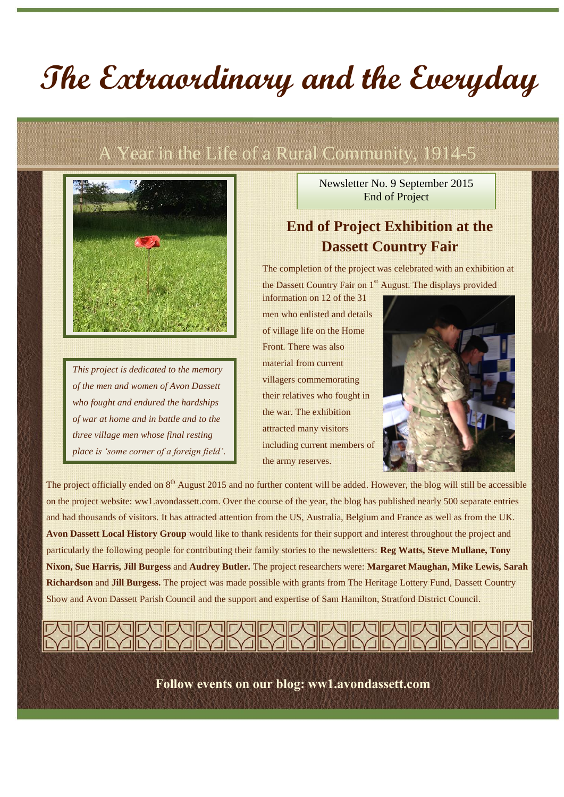# **The Extraordinary and the Everyday**

# A Year in the Life of a Rural Community, 1914-5



*This project is dedicated to the memory of the men and women of Avon Dassett who fought and endured the hardships of war at home and in battle and to the three village men whose final resting place is 'some corner of a foreign field'.* Newsletter No. 9 September 2015 End of Project

## **End of Project Exhibition at the Dassett Country Fair**

The completion of the project was celebrated with an exhibition at

the Dassett Country Fair on 1<sup>st</sup> August. The displays provided information on 12 of the 31 men who enlisted and details of village life on the Home Front. There was also material from current villagers commemorating their relatives who fought in the war. The exhibition attracted many visitors including current members of the army reserves.



The project officially ended on 8<sup>th</sup> August 2015 and no further content will be added. However, the blog will still be accessible on the project website: ww1.avondassett.com. Over the course of the year, the blog has published nearly 500 separate entries and had thousands of visitors. It has attracted attention from the US, Australia, Belgium and France as well as from the UK. **Avon Dassett Local History Group** would like to thank residents for their support and interest throughout the project and particularly the following people for contributing their family stories to the newsletters: **Reg Watts, Steve Mullane, Tony Nixon, Sue Harris, Jill Burgess** and **Audrey Butler.** The project researchers were: **Margaret Maughan, Mike Lewis, Sarah Richardson** and **Jill Burgess.** The project was made possible with grants from The Heritage Lottery Fund, Dassett Country Show and Avon Dassett Parish Council and the support and expertise of Sam Hamilton, Stratford District Council.

**Follow events on our blog: ww1.avondassett.com**